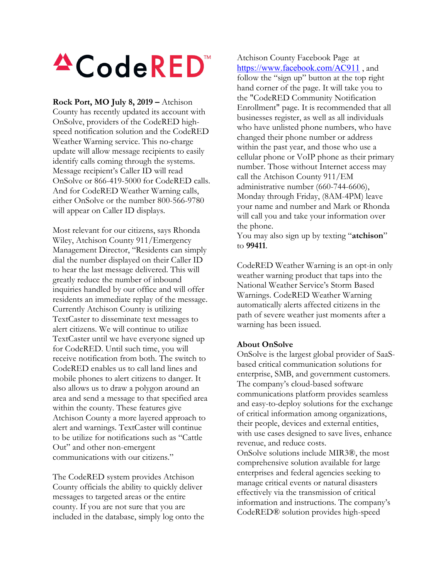## **ACodeRED**

**Rock Port, MO July 8, 2019 –** Atchison County has recently updated its account with OnSolve, providers of the CodeRED highspeed notification solution and the CodeRED Weather Warning service. This no-charge update will allow message recipients to easily identify calls coming through the systems. Message recipient's Caller ID will read OnSolve or 866-419-5000 for CodeRED calls. And for CodeRED Weather Warning calls, either OnSolve or the number 800-566-9780 will appear on Caller ID displays.

Most relevant for our citizens, says Rhonda Wiley, Atchison County 911/Emergency Management Director, "Residents can simply dial the number displayed on their Caller ID to hear the last message delivered. This will greatly reduce the number of inbound inquiries handled by our office and will offer residents an immediate replay of the message. Currently Atchison County is utilizing TextCaster to disseminate text messages to alert citizens. We will continue to utilize TextCaster until we have everyone signed up for CodeRED. Until such time, you will receive notification from both. The switch to CodeRED enables us to call land lines and mobile phones to alert citizens to danger. It also allows us to draw a polygon around an area and send a message to that specified area within the county. These features give Atchison County a more layered approach to alert and warnings. TextCaster will continue to be utilize for notifications such as "Cattle Out" and other non-emergent communications with our citizens."

The CodeRED system provides Atchison County officials the ability to quickly deliver messages to targeted areas or the entire county. If you are not sure that you are included in the database, simply log onto the Atchison County Facebook Page at <https://www.facebook.com/AC911>, and follow the "sign up" button at the top right hand corner of the page. It will take you to the "CodeRED Community Notification Enrollment" page. It is recommended that all businesses register, as well as all individuals who have unlisted phone numbers, who have changed their phone number or address within the past year, and those who use a cellular phone or VoIP phone as their primary number. Those without Internet access may call the Atchison County 911/EM administrative number (660-744-6606), Monday through Friday, (8AM-4PM) leave your name and number and Mark or Rhonda will call you and take your information over the phone.

You may also sign up by texting "**atchison**" to **99411**.

CodeRED Weather Warning is an opt-in only weather warning product that taps into the National Weather Service's Storm Based Warnings. CodeRED Weather Warning automatically alerts affected citizens in the path of severe weather just moments after a warning has been issued.

## **About OnSolve**

OnSolve is the largest global provider of SaaSbased critical communication solutions for enterprise, SMB, and government customers. The company's cloud-based software communications platform provides seamless and easy-to-deploy solutions for the exchange of critical information among organizations, their people, devices and external entities, with use cases designed to save lives, enhance revenue, and reduce costs.

OnSolve solutions include MIR3®, the most comprehensive solution available for large enterprises and federal agencies seeking to manage critical events or natural disasters effectively via the transmission of critical information and instructions. The company's CodeRED® solution provides high-speed